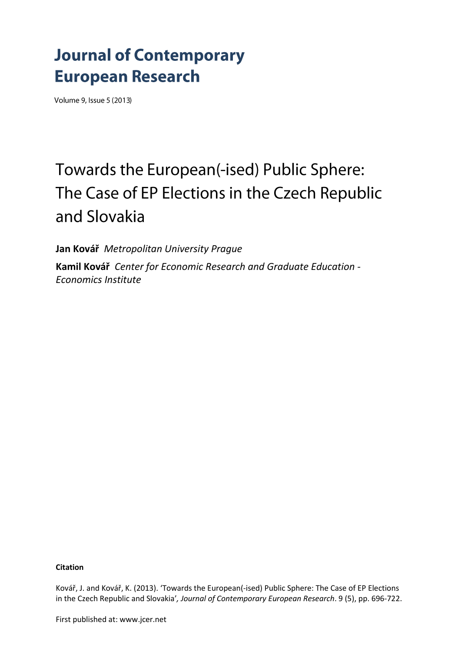# **Journal of Contemporary European Research**

Volume 9, Issue 5 (2013)

# Towards the European(-ised) Public Sphere: The Case of EP Elections in the Czech Republic and Slovakia

**Jan Kovář** *Metropolitan University Prague*

**Kamil Kovář** *Center for Economic Research and Graduate Education - Economics Institute*

#### **Citation**

Kovář, J. and Kovář, K. (2013). 'Towards the European(-ised) Public Sphere: The Case of EP Elections in the Czech Republic and Slovakia'*, Journal of Contemporary European Research*. 9 (5), pp. 696-722.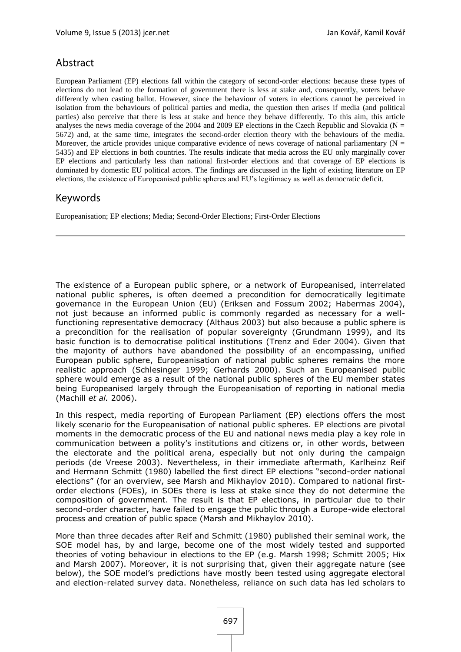# Abstract

European Parliament (EP) elections fall within the category of second-order elections: because these types of elections do not lead to the formation of government there is less at stake and, consequently, voters behave differently when casting ballot. However, since the behaviour of voters in elections cannot be perceived in isolation from the behaviours of political parties and media, the question then arises if media (and political parties) also perceive that there is less at stake and hence they behave differently. To this aim, this article analyses the news media coverage of the 2004 and 2009 EP elections in the Czech Republic and Slovakia ( $N =$ 5672) and, at the same time, integrates the second-order election theory with the behaviours of the media. Moreover, the article provides unique comparative evidence of news coverage of national parliamentary ( $N =$ 5435) and EP elections in both countries. The results indicate that media across the EU only marginally cover EP elections and particularly less than national first-order elections and that coverage of EP elections is dominated by domestic EU political actors. The findings are discussed in the light of existing literature on EP elections, the existence of Europeanised public spheres and EU's legitimacy as well as democratic deficit.

# Keywords

Europeanisation; EP elections; Media; Second-Order Elections; First-Order Elections

The existence of a European public sphere, or a network of Europeanised, interrelated national public spheres, is often deemed a precondition for democratically legitimate governance in the European Union (EU) [\(Eriksen and Fossum](#page-23-0) 2002; [Habermas](#page-24-0) 2004), not just because an informed public is commonly regarded as necessary for a wellfunctioning representative democracy [\(Althaus](#page-22-0) 2003) but also because a public sphere is a precondition for the realisation of popular sovereignty [\(Grundmann](#page-24-1) 1999), and its basic function is to democratise political institutions [\(Trenz and Eder](#page-26-0) 2004). Given that the majority of authors have abandoned the possibility of an encompassing, unified European public sphere, Europeanisation of national public spheres remains the more realistic approach [\(Schlesinger](#page-25-0) 1999; [Gerhards](#page-24-2) 2000). Such an Europeanised public sphere would emerge as a result of the national public spheres of the EU member states being Europeanised largely through the Europeanisation of reporting in national media [\(Machill](#page-25-1) *et al.* 2006).

In this respect, media reporting of European Parliament (EP) elections offers the most likely scenario for the Europeanisation of national public spheres. EP elections are pivotal moments in the democratic process of the EU and national news media play a key role in communication between a polity's institutions and citizens or, in other words, between the electorate and the political arena, especially but not only during the campaign periods [\(de Vreese](#page-22-1) 2003). Nevertheless, in their immediate aftermath, Karlheinz Reif and Hermann Schmitt [\(1980\)](#page-25-2) labelled the first direct EP elections "second-order national elections" [\(for an overview, see Marsh and Mikhaylov](#page-25-3) 2010). Compared to national firstorder elections (FOEs), in SOEs there is less at stake since they do not determine the composition of government. The result is that EP elections, in particular due to their second-order character, have failed to engage the public through a Europe-wide electoral process and creation of public space [\(Marsh and Mikhaylov](#page-25-3) 2010).

More than three decades after Reif and Schmitt [\(1980\)](#page-25-2) published their seminal work, the SOE model has, by and large, become one of the most widely tested and supported theories of voting behaviour in elections to the EP (e.g. [Marsh](#page-25-4) 1998; [Schmitt](#page-25-5) 2005; [Hix](#page-24-3)  [and Marsh](#page-24-3) 2007). Moreover, it is not surprising that, given their aggregate nature (see below), the SOE model's predictions have mostly been tested using aggregate electoral and election-related survey data. Nonetheless, reliance on such data has led scholars to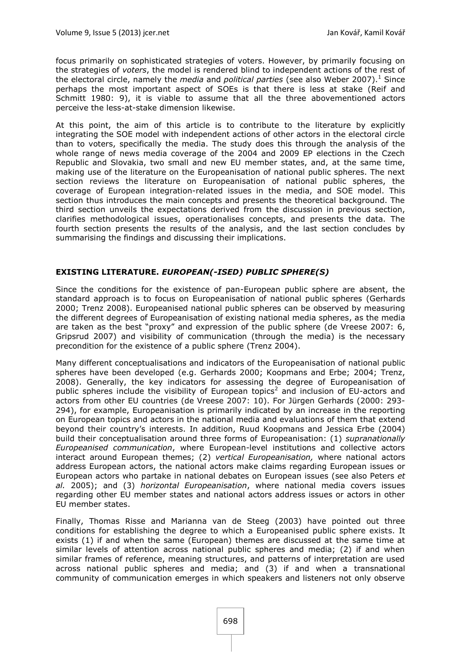focus primarily on sophisticated strategies of voters. However, by primarily focusing on the strategies of *voters*, the model is rendered blind to independent actions of the rest of the electoral circle, namely the *media* and *political parties* [\(see also Weber](#page-26-1) 2007). <sup>1</sup> Since perhaps the most important aspect of SOEs is that there is less at stake [\(Reif and](#page-25-2)  [Schmitt 1980:](#page-25-2) 9), it is viable to assume that all the three abovementioned actors perceive the less-at-stake dimension likewise.

At this point, the aim of this article is to contribute to the literature by explicitly integrating the SOE model with independent actions of other actors in the electoral circle than to voters, specifically the media. The study does this through the analysis of the whole range of news media coverage of the 2004 and 2009 EP elections in the Czech Republic and Slovakia, two small and new EU member states, and, at the same time, making use of the literature on the Europeanisation of national public spheres. The next section reviews the literature on Europeanisation of national public spheres, the coverage of European integration-related issues in the media, and SOE model. This section thus introduces the main concepts and presents the theoretical background. The third section unveils the expectations derived from the discussion in previous section, clarifies methodological issues, operationalises concepts, and presents the data. The fourth section presents the results of the analysis, and the last section concludes by summarising the findings and discussing their implications.

## **EXISTING LITERATURE.** *EUROPEAN(-ISED) PUBLIC SPHERE(S)*

Since the conditions for the existence of pan-European public sphere are absent, the standard approach is to focus on Europeanisation of national public spheres [\(Gerhards](#page-24-2)  [2000;](#page-24-2) [Trenz](#page-26-2) 2008). Europeanised national public spheres can be observed by measuring the different degrees of Europeanisation of existing national media spheres, as the media are taken as the best "proxy" and expression of the public sphere [\(de Vreese 2007:](#page-22-2) 6, [Gripsrud](#page-24-4) 2007) and visibility of communication (through the media) is the necessary precondition for the existence of a public sphere [\(Trenz](#page-26-3) 2004).

Many different conceptualisations and indicators of the Europeanisation of national public spheres have been developed (e.g. [Gerhards](#page-24-2) 2000; [Koopmans and Erbe;](#page-24-5) 2004; [Trenz,](#page-26-2)  [2008\)](#page-26-2). Generally, the key indicators for assessing the degree of Europeanisation of public spheres include the visibility of European topics<sup>2</sup> and inclusion of EU-actors and actors from other EU countries [\(de Vreese 2007: 10\)](#page-22-2). For Jürgen Gerhards [\(2000: 293-](#page-24-2) [294\)](#page-24-2), for example, Europeanisation is primarily indicated by an increase in the reporting on European topics and actors in the national media and evaluations of them that extend beyond their country's interests. In addition, Ruud Koopmans and Jessica Erbe [\(2004\)](#page-24-5) build their conceptualisation around three forms of Europeanisation: (1) *supranationally Europeanised communication*, where European-level institutions and collective actors interact around European themes; (2) *vertical Europeanisation,* where national actors address European actors, the national actors make claims regarding European issues or European actors who partake in national debates on European issues [\(see also Peters](#page-25-6) *et al.* [2005\)](#page-25-6); and (3) *horizontal Europeanisation*, where national media covers issues regarding other EU member states and national actors address issues or actors in other EU member states.

Finally, Thomas Risse and Marianna van de Steeg [\(2003\)](#page-25-7) have pointed out three conditions for establishing the degree to which a Europeanised public sphere exists. It exists (1) if and when the same (European) themes are discussed at the same time at similar levels of attention across national public spheres and media; (2) if and when similar frames of reference, meaning structures, and patterns of interpretation are used across national public spheres and media; and (3) if and when a transnational community of communication emerges in which speakers and listeners not only observe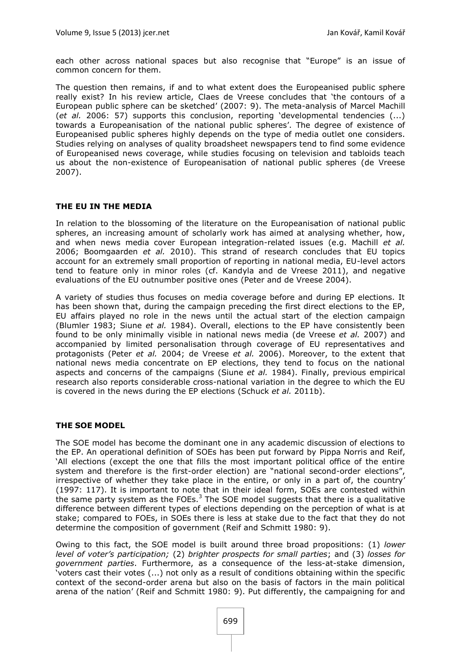each other across national spaces but also recognise that "Europe" is an issue of common concern for them.

The question then remains, if and to what extent does the Europeanised public sphere really exist? In his review article, Claes de Vreese concludes that 'the contours of a European public sphere can be sketched' [\(2007:](#page-22-2) 9). The meta-analysis of Marcel Machill (*et al.* [2006: 57\)](#page-25-1) supports this conclusion, reporting 'developmental tendencies (...) towards a Europeanisation of the national public spheres'. The degree of existence of Europeanised public spheres highly depends on the type of media outlet one considers. Studies relying on analyses of quality broadsheet newspapers tend to find some evidence of Europeanised news coverage, while studies focusing on television and tabloids teach us about the non-existence of Europeanisation of national public spheres [\(de Vreese](#page-22-2) [2007\)](#page-22-2).

#### **THE EU IN THE MEDIA**

In relation to the blossoming of the literature on the Europeanisation of national public spheres, an increasing amount of scholarly work has aimed at analysing whether, how, and when news media cover European integration-related issues (e.g. [Machill](#page-25-1) *et al.* [2006;](#page-25-1) [Boomgaarden](#page-22-3) *et al.* 2010). This strand of research concludes that EU topics account for an extremely small proportion of reporting in national media, EU-level actors tend to feature only in minor roles [\(cf. Kandyla and de Vreese](#page-24-6) 2011), and negative evaluations of the EU outnumber positive ones [\(Peter and de Vreese](#page-25-8) 2004).

A variety of studies thus focuses on media coverage before and during EP elections. It has been shown that, during the campaign preceding the first direct elections to the EP, EU affairs played no role in the news until the actual start of the election campaign [\(Blumler](#page-22-4) 1983; [Siune](#page-26-4) *et al.* 1984). Overall, elections to the EP have consistently been found to be only minimally visible in national news media [\(de Vreese](#page-22-5) *et al.* 2007) and accompanied by limited personalisation through coverage of EU representatives and protagonists [\(Peter](#page-25-9) *et al.* 2004; [de Vreese](#page-22-6) *et al.* 2006). Moreover, to the extent that national news media concentrate on EP elections, they tend to focus on the national aspects and concerns of the campaigns [\(Siune](#page-26-4) *et al.* 1984). Finally, previous empirical research also reports considerable cross-national variation in the degree to which the EU is covered in the news during the EP elections [\(Schuck](#page-26-5) *et al.* 2011b).

## **THE SOE MODEL**

The SOE model has become the dominant one in any academic discussion of elections to the EP. An operational definition of SOEs has been put forward by Pippa Norris and Reif, 'All elections (except the one that fills the most important political office of the entire system and therefore is the first-order election) are "national second-order elections", irrespective of whether they take place in the entire, or only in a part of, the country' [\(1997: 117\)](#page-25-10). It is important to note that in their ideal form, SOEs are contested within the same party system as the FOEs.<sup>3</sup> The SOE model suggests that there is a qualitative difference between different types of elections depending on the perception of what is at stake; compared to FOEs, in SOEs there is less at stake due to the fact that they do not determine the composition of government [\(Reif and Schmitt](#page-25-2) 1980: 9).

Owing to this fact, the SOE model is built around three broad propositions: (1) *lower level of voter's participation;* (2) *brighter prospects for small parties*; and (3) *losses for government parties*. Furthermore, as a consequence of the less-at-stake dimension, 'voters cast their votes (...) not only as a result of conditions obtaining within the specific context of the second-order arena but also on the basis of factors in the main political arena of the nation' [\(Reif and Schmitt 1980:](#page-25-2) 9). Put differently, the campaigning for and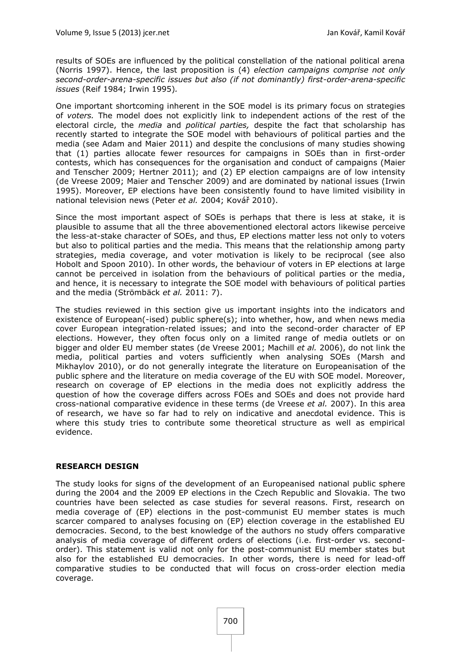results of SOEs are influenced by the political constellation of the national political arena [\(Norris](#page-25-10) 1997). Hence, the last proposition is (4) *election campaigns comprise not only second-order-arena-specific issues but also (if not dominantly) first-order-arena-specific issues* (Reif [1984;](#page-25-11) Irwin [1995\)](#page-24-7)*.*

One important shortcoming inherent in the SOE model is its primary focus on strategies of *voters.* The model does not explicitly link to independent actions of the rest of the electoral circle, the *media* and *political parties,* despite the fact that scholarship has recently started to integrate the SOE model with behaviours of political parties and the media (see [Adam and Maier](#page-22-7) 2011) and despite the conclusions of many studies showing that (1) parties allocate fewer resources for campaigns in SOEs than in first-order contests, which has consequences for the organisation and conduct of campaigns [\(Maier](#page-25-12)  [and Tenscher](#page-25-12) 2009; [Hertner](#page-24-8) 2011); and (2) EP election campaigns are of low intensity [\(de Vreese](#page-22-8) 2009; [Maier and Tenscher](#page-25-12) 2009) and are dominated by national issues [\(Irwin](#page-24-7) [1995\)](#page-24-7). Moreover, EP elections have been consistently found to have limited visibility in national television news [\(Peter](#page-25-9) *et al.* 2004; [Kovář](#page-24-9) 2010).

Since the most important aspect of SOEs is perhaps that there is less at stake, it is plausible to assume that all the three abovementioned electoral actors likewise perceive the less-at-stake character of SOEs, and thus, EP elections matter less not only to voters but also to political parties and the media. This means that the relationship among party strategies, media coverage, and voter motivation is likely to be reciprocal [\(see also](#page-24-10)  [Hobolt and Spoon](#page-24-10) 2010). In other words, the behaviour of voters in EP elections at large cannot be perceived in isolation from the behaviours of political parties or the media, and hence, it is necessary to integrate the SOE model with behaviours of political parties and the media [\(Strömbäck](#page-26-6) *et al.* 2011: 7).

The studies reviewed in this section give us important insights into the indicators and existence of European(-ised) public sphere(s); into whether, how, and when news media cover European integration-related issues; and into the second-order character of EP elections. However, they often focus only on a limited range of media outlets or on bigger and older EU member states [\(de Vreese](#page-22-9) 2001; [Machill](#page-25-1) *et al.* 2006), do not link the media, political parties and voters sufficiently when analysing SOEs [\(Marsh and](#page-25-3)  [Mikhaylov](#page-25-3) 2010), or do not generally integrate the literature on Europeanisation of the public sphere and the literature on media coverage of the EU with SOE model. Moreover, research on coverage of EP elections in the media does not explicitly address the question of how the coverage differs across FOEs and SOEs and does not provide hard cross-national comparative evidence in these terms [\(de Vreese](#page-22-5) *et al.* 2007). In this area of research, we have so far had to rely on indicative and anecdotal evidence. This is where this study tries to contribute some theoretical structure as well as empirical evidence.

## **RESEARCH DESIGN**

The study looks for signs of the development of an Europeanised national public sphere during the 2004 and the 2009 EP elections in the Czech Republic and Slovakia. The two countries have been selected as case studies for several reasons. First, research on media coverage of (EP) elections in the post-communist EU member states is much scarcer compared to analyses focusing on (EP) election coverage in the established EU democracies. Second, to the best knowledge of the authors no study offers comparative analysis of media coverage of different orders of elections (i.e. first-order vs. secondorder). This statement is valid not only for the post-communist EU member states but also for the established EU democracies. In other words, there is need for lead-off comparative studies to be conducted that will focus on cross-order election media coverage.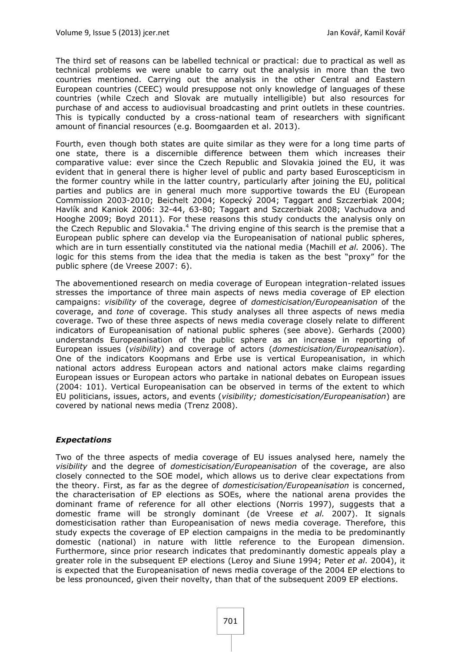The third set of reasons can be labelled technical or practical: due to practical as well as technical problems we were unable to carry out the analysis in more than the two countries mentioned. Carrying out the analysis in the other Central and Eastern European countries (CEEC) would presuppose not only knowledge of languages of these countries (while Czech and Slovak are mutually intelligible) but also resources for purchase of and access to audiovisual broadcasting and print outlets in these countries. This is typically conducted by a cross-national team of researchers with significant amount of financial resources [\(e.g. Boomgaarden et al.](#page-22-10) 2013).

Fourth, even though both states are quite similar as they were for a long time parts of one state, there is a discernible difference between them which increases their comparative value: ever since the Czech Republic and Slovakia joined the EU, it was evident that in general there is higher level of public and party based Euroscepticism in the former country while in the latter country, particularly after joining the EU, political parties and publics are in general much more supportive towards the EU (European Commission 2003-2010; [Beichelt](#page-22-11) 2004; [Kopecký](#page-24-11) 2004; [Taggart and Szczerbiak](#page-26-7) 2004; [Havlík and Kaniok 2006: 32-44, 63-80;](#page-24-12) [Taggart and Szczerbiak](#page-26-8) 2008; [Vachudova and](#page-26-9)  [Hooghe 2009;](#page-26-9) Boyd [2011\)](#page-22-12). For these reasons this study conducts the analysis only on the Czech Republic and Slovakia.<sup>4</sup> The driving engine of this search is the premise that a European public sphere can develop via the Europeanisation of national public spheres, which are in turn essentially constituted via the national media [\(Machill](#page-25-1) *et al.* 2006). The logic for this stems from the idea that the media is taken as the best "proxy" for the public sphere [\(de Vreese 2007:](#page-22-2) 6).

The abovementioned research on media coverage of European integration-related issues stresses the importance of three main aspects of news media coverage of EP election campaigns: *visibility* of the coverage, degree of *domesticisation/Europeanisation* of the coverage, and *tone* of coverage. This study analyses all three aspects of news media coverage. Two of these three aspects of news media coverage closely relate to different indicators of Europeanisation of national public spheres (see above). Gerhards [\(2000\)](#page-24-2) understands Europeanisation of the public sphere as an increase in reporting of European issues (*visibility*) and coverage of actors (*domesticisation/Europeanisation*). One of the indicators Koopmans and Erbe use is vertical Europeanisation, in which national actors address European actors and national actors make claims regarding European issues or European actors who partake in national debates on European issues [\(2004:](#page-24-5) 101). Vertical Europeanisation can be observed in terms of the extent to which EU politicians, issues, actors, and events (*visibility; domesticisation/Europeanisation*) are covered by national news media [\(Trenz](#page-26-2) 2008).

## *Expectations*

Two of the three aspects of media coverage of EU issues analysed here, namely the *visibility* and the degree of *domesticisation/Europeanisation* of the coverage, are also closely connected to the SOE model, which allows us to derive clear expectations from the theory. First, as far as the degree of *domesticisation/Europeanisation* is concerned, the characterisation of EP elections as SOEs, where the national arena provides the dominant frame of reference for all other elections [\(Norris](#page-25-10) 1997), suggests that a domestic frame will be strongly dominant [\(de Vreese](#page-22-5) *et al.* 2007). It signals domesticisation rather than Europeanisation of news media coverage. Therefore, this study expects the coverage of EP election campaigns in the media to be predominantly domestic (national) in nature with little reference to the European dimension. Furthermore, since prior research indicates that predominantly domestic appeals play a greater role in the subsequent EP elections [\(Leroy and Siune](#page-25-13) 1994; Peter *et al.* [2004\)](#page-25-9), it is expected that the Europeanisation of news media coverage of the 2004 EP elections to be less pronounced, given their novelty, than that of the subsequent 2009 EP elections.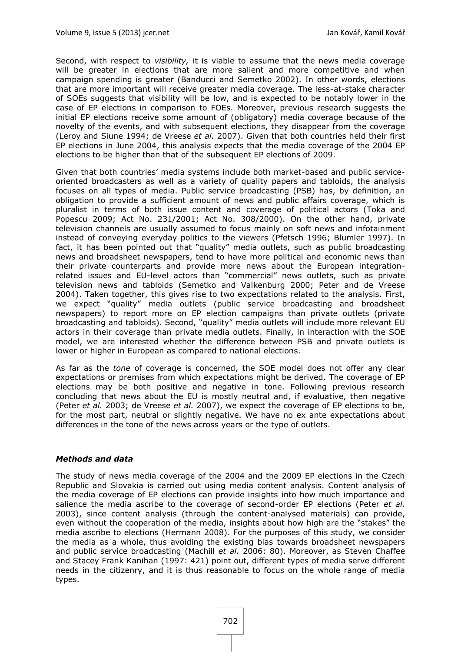Second, with respect to *visibility,* it is viable to assume that the news media coverage will be greater in elections that are more salient and more competitive and when campaign spending is greater [\(Banducci and Semetko](#page-22-13) 2002). In other words, elections that are more important will receive greater media coverage. The less-at-stake character of SOEs suggests that visibility will be low, and is expected to be notably lower in the case of EP elections in comparison to FOEs. Moreover, previous research suggests the initial EP elections receive some amount of (obligatory) media coverage because of the novelty of the events, and with subsequent elections, they disappear from the coverage [\(Leroy and Siune](#page-25-13) 1994; [de Vreese](#page-22-5) *et al.* 2007). Given that both countries held their first EP elections in June 2004, this analysis expects that the media coverage of the 2004 EP elections to be higher than that of the subsequent EP elections of 2009.

Given that both countries' media systems include both market-based and public serviceoriented broadcasters as well as a variety of quality papers and tabloids, the analysis focuses on all types of media. Public service broadcasting (PSB) has, by definition, an obligation to provide a sufficient amount of news and public affairs coverage, which is pluralist in terms of both issue content and coverage of political actors [\(Toka and](#page-26-10)  [Popescu](#page-26-10) 2009; [Act No. 231/2001;](#page-22-14) [Act No. 308/2000\)](#page-22-15). On the other hand, private television channels are usually assumed to focus mainly on soft news and infotainment instead of conveying everyday politics to the viewers [\(Pfetsch 1996;](#page-25-14) [Blumler](#page-22-16) 1997). In fact, it has been pointed out that "quality" media outlets, such as public broadcasting news and broadsheet newspapers, tend to have more political and economic news than their private counterparts and provide more news about the European integrationrelated issues and EU-level actors than "commercial" news outlets, such as private television news and tabloids [\(Semetko and Valkenburg](#page-25-15) 2000; [Peter and de Vreese](#page-25-8) [2004\)](#page-25-8). Taken together, this gives rise to two expectations related to the analysis. First, we expect "quality" media outlets (public service broadcasting and broadsheet newspapers) to report more on EP election campaigns than private outlets (private broadcasting and tabloids). Second, "quality" media outlets will include more relevant EU actors in their coverage than private media outlets. Finally, in interaction with the SOE model, we are interested whether the difference between PSB and private outlets is lower or higher in European as compared to national elections.

As far as the *tone* of coverage is concerned, the SOE model does not offer any clear expectations or premises from which expectations might be derived. The coverage of EP elections may be both positive and negative in tone. Following previous research concluding that news about the EU is mostly neutral and, if evaluative, then negative [\(Peter](#page-25-16) *et al.* 2003; [de Vreese](#page-22-5) *et al.* 2007), we expect the coverage of EP elections to be, for the most part, neutral or slightly negative. We have no ex ante expectations about differences in the tone of the news across years or the type of outlets.

## *Methods and data*

The study of news media coverage of the 2004 and the 2009 EP elections in the Czech Republic and Slovakia is carried out using media content analysis. Content analysis of the media coverage of EP elections can provide insights into how much importance and salience the media ascribe to the coverage of second-order EP elections [\(Peter](#page-25-16) *et al.* [2003\)](#page-25-16), since content analysis (through the content-analysed materials) can provide, even without the cooperation of the media, insights about how high are the "stakes" the media ascribe to elections [\(Hermann](#page-24-13) 2008). For the purposes of this study, we consider the media as a whole, thus avoiding the existing bias towards broadsheet newspapers and public service broadcasting [\(Machill](#page-25-1) *et al.* 2006: 80). Moreover, as Steven Chaffee and Stacey Frank Kanihan [\(1997:](#page-24-14) 421) point out, different types of media serve different needs in the citizenry, and it is thus reasonable to focus on the whole range of media types.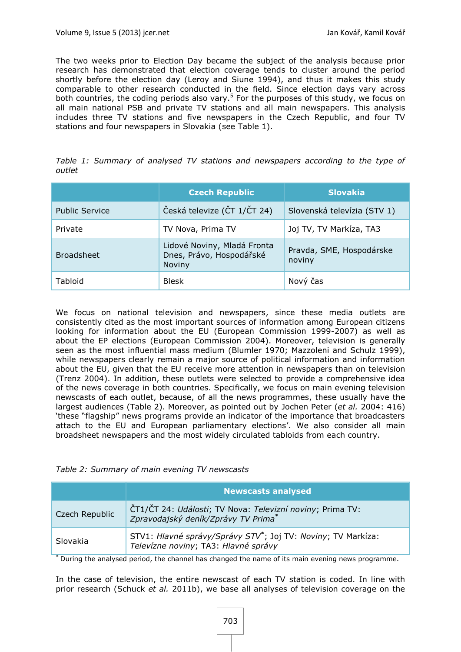The two weeks prior to Election Day became the subject of the analysis because prior research has demonstrated that election coverage tends to cluster around the period shortly before the election day [\(Leroy and Siune](#page-25-13) 1994), and thus it makes this study comparable to other research conducted in the field. Since election days vary across both countries, the coding periods also vary.<sup>5</sup> For the purposes of this study, we focus on all main national PSB and private TV stations and all main newspapers. This analysis includes three TV stations and five newspapers in the Czech Republic, and four TV stations and four newspapers in Slovakia (see Table 1).

|        |  |  |  | Table 1: Summary of analysed TV stations and newspapers according to the type of |  |  |  |
|--------|--|--|--|----------------------------------------------------------------------------------|--|--|--|
| outlet |  |  |  |                                                                                  |  |  |  |

|                       | <b>Czech Republic</b>                                             | <b>Slovakia</b>                    |  |  |
|-----------------------|-------------------------------------------------------------------|------------------------------------|--|--|
| <b>Public Service</b> | Česká televize (ČT 1/ČT 24)                                       | Slovenská televízia (STV 1)        |  |  |
| Private               | TV Nova, Prima TV                                                 | Joj TV, TV Markíza, TA3            |  |  |
| <b>Broadsheet</b>     | Lidové Noviny, Mladá Fronta<br>Dnes, Právo, Hospodářské<br>Noviny | Pravda, SME, Hospodárske<br>noviny |  |  |
| Tabloid               | <b>Blesk</b>                                                      | Nový čas                           |  |  |

We focus on national television and newspapers, since these media outlets are consistently cited as the most important sources of information among European citizens looking for information about the EU [\(European Commission 1999-2007\)](#page-23-1) as well as about the EP elections [\(European Commission](#page-23-2) 2004). Moreover, television is generally seen as the most influential mass medium [\(Blumler](#page-22-17) 1970; [Mazzoleni and Schulz](#page-25-17) 1999), while newspapers clearly remain a major source of political information and information about the EU, given that the EU receive more attention in newspapers than on television [\(Trenz](#page-26-3) 2004). In addition, these outlets were selected to provide a comprehensive idea of the news coverage in both countries. Specifically, we focus on main evening television newscasts of each outlet, because, of all the news programmes, these usually have the largest audiences (Table 2). Moreover, as pointed out by Jochen Peter (*et al.* [2004:](#page-25-9) 416) 'these "flagship" news programs provide an indicator of the importance that broadcasters attach to the EU and European parliamentary elections'. We also consider all main broadsheet newspapers and the most widely circulated tabloids from each country.

|  |  | Table 2: Summary of main evening TV newscasts |
|--|--|-----------------------------------------------|
|  |  |                                               |

|                | <b>Newscasts analysed</b>                                                                                         |  |  |  |
|----------------|-------------------------------------------------------------------------------------------------------------------|--|--|--|
| Czech Republic | ČT1/ČT 24: Události; TV Nova: Televizní noviny; Prima TV:<br>Zpravodajský deník/Zprávy TV Prima*                  |  |  |  |
| Slovakia       | STV1: Hlavné správy/Správy STV <sup>*</sup> ; Joj TV: Noviny; TV Markíza:<br>Televízne noviny; TA3: Hlavné správy |  |  |  |

**\*** During the analysed period, the channel has changed the name of its main evening news programme.

In the case of television, the entire newscast of each TV station is coded. In line with prior research [\(Schuck](#page-26-5) *et al.* 2011b), we base all analyses of television coverage on the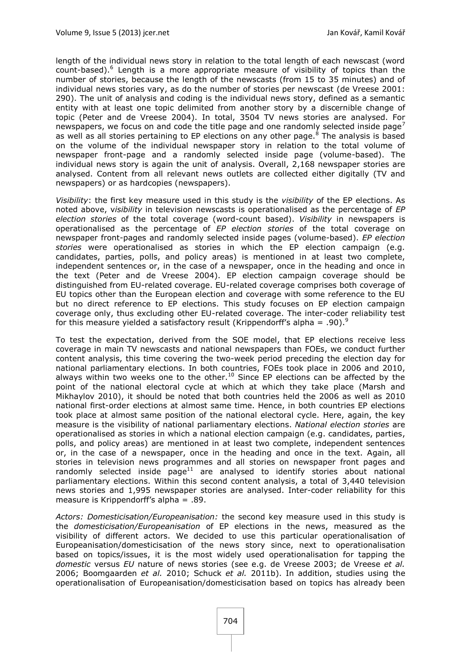length of the individual news story in relation to the total length of each newscast (word count-based).<sup>6</sup> Length is a more appropriate measure of visibility of topics than the number of stories, because the length of the newscasts (from 15 to 35 minutes) and of individual news stories vary, as do the number of stories per newscast [\(de Vreese](#page-22-9) 2001: [290\)](#page-22-9). The unit of analysis and coding is the individual news story, defined as a semantic entity with at least one topic delimited from another story by a discernible change of topic [\(Peter and de Vreese](#page-25-8) 2004). In total, 3504 TV news stories are analysed. For newspapers, we focus on and code the title page and one randomly selected inside page<sup>7</sup> as well as all stories pertaining to EP elections on any other page. $8$  The analysis is based on the volume of the individual newspaper story in relation to the total volume of newspaper front-page and a randomly selected inside page (volume-based). The individual news story is again the unit of analysis. Overall, 2,168 newspaper stories are analysed. Content from all relevant news outlets are collected either digitally (TV and newspapers) or as hardcopies (newspapers).

*Visibility*: the first key measure used in this study is the *visibility* of the EP elections. As noted above, v*isibility* in television newscasts is operationalised as the percentage of *EP election stories* of the total coverage (word-count based). *Visibility* in newspapers is operationalised as the percentage of *EP election stories* of the total coverage on newspaper front-pages and randomly selected inside pages (volume-based). *EP election stories* were operationalised as stories in which the EP election campaign (e.g. candidates, parties, polls, and policy areas) is mentioned in at least two complete, independent sentences or, in the case of a newspaper, once in the heading and once in the text [\(Peter and de Vreese](#page-25-8) 2004). EP election campaign coverage should be distinguished from EU-related coverage. EU-related coverage comprises both coverage of EU topics other than the European election and coverage with some reference to the EU but no direct reference to EP elections. This study focuses on EP election campaign coverage only, thus excluding other EU-related coverage. The inter-coder reliability test for this measure yielded a satisfactory result (Krippendorff's alpha = .90).<sup>9</sup>

To test the expectation, derived from the SOE model, that EP elections receive less coverage in main TV newscasts and national newspapers than FOEs, we conduct further content analysis, this time covering the two-week period preceding the election day for national parliamentary elections. In both countries, FOEs took place in 2006 and 2010, always within two weeks one to the other.<sup>10</sup> Since EP elections can be affected by the point of the national electoral cycle at which at which they take place [\(Marsh and](#page-25-3)  [Mikhaylov](#page-25-3) 2010), it should be noted that both countries held the 2006 as well as 2010 national first-order elections at almost same time. Hence, in both countries EP elections took place at almost same position of the national electoral cycle. Here, again, the key measure is the visibility of national parliamentary elections. *National election stories* are operationalised as stories in which a national election campaign (e.g. candidates, parties, polls, and policy areas) are mentioned in at least two complete, independent sentences or, in the case of a newspaper, once in the heading and once in the text. Again, all stories in television news programmes and all stories on newspaper front pages and randomly selected inside page<sup>11</sup> are analysed to identify stories about national parliamentary elections. Within this second content analysis, a total of 3,440 television news stories and 1,995 newspaper stories are analysed. Inter-coder reliability for this measure is Krippendorff's alpha = .89.

*Actors: Domesticisation/Europeanisation:* the second key measure used in this study is the *domesticisation/Europeanisation* of EP elections in the news, measured as the visibility of different actors. We decided to use this particular operationalisation of Europeanisation/domesticisation of the news story since, next to operationalisation based on topics/issues, it is the most widely used operationalisation for tapping the *domestic* versus *EU* nature of news stories (see e.g. [de Vreese](#page-22-1) 2003; [de Vreese](#page-22-6) *et al.* [2006;](#page-22-6) [Boomgaarden](#page-22-3) *et al.* 2010; [Schuck](#page-26-11) *et al.* 2011b). In addition, studies using the operationalisation of Europeanisation/domesticisation based on topics has already been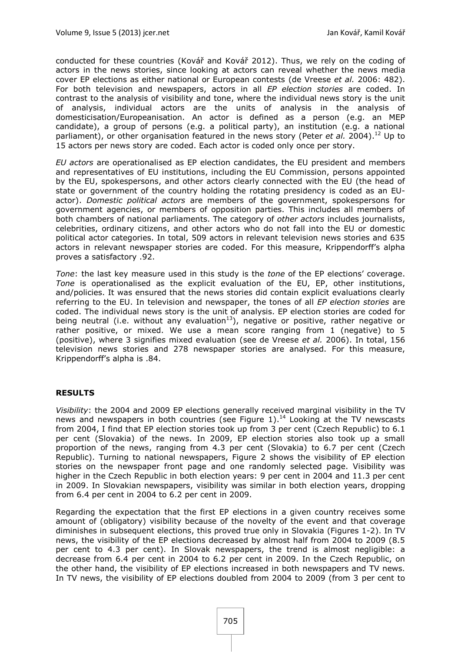conducted for these countries ([Kovář and Kovář](#page-24-15) 2012). Thus, we rely on the coding of actors in the news stories, since looking at actors can reveal whether the news media cover EP elections as either national or European contests [\(de Vreese](#page-22-6) *et al.* 2006: 482). For both television and newspapers, actors in all *EP election stories* are coded. In contrast to the analysis of visibility and tone, where the individual news story is the unit of analysis, individual actors are the units of analysis in the analysis of domesticisation/Europeanisation. An actor is defined as a person (e.g. an MEP candidate), a group of persons (e.g. a political party), an institution (e.g. a national parliament), or other organisation featured in the news story [\(Peter](#page-25-9) et al. 2004).<sup>12</sup> Up to 15 actors per news story are coded. Each actor is coded only once per story.

*EU actors* are operationalised as EP election candidates, the EU president and members and representatives of EU institutions, including the EU Commission, persons appointed by the EU, spokespersons, and other actors clearly connected with the EU (the head of state or government of the country holding the rotating presidency is coded as an EUactor). *Domestic political actors* are members of the government, spokespersons for government agencies, or members of opposition parties. This includes all members of both chambers of national parliaments. The category of *other actors* includes journalists, celebrities, ordinary citizens, and other actors who do not fall into the EU or domestic political actor categories. In total, 509 actors in relevant television news stories and 635 actors in relevant newspaper stories are coded. For this measure, Krippendorff's alpha proves a satisfactory .92.

*Tone*: the last key measure used in this study is the *tone* of the EP elections' coverage. *Tone* is operationalised as the explicit evaluation of the EU, EP, other institutions, and/policies. It was ensured that the news stories did contain explicit evaluations clearly referring to the EU. In television and newspaper, the tones of all *EP election stories* are coded. The individual news story is the unit of analysis. EP election stories are coded for being neutral (i.e. without any evaluation $^{13}$ ), negative or positive, rather negative or rather positive, or mixed. We use a mean score ranging from 1 (negative) to 5 (positive), where 3 signifies mixed evaluation [\(see de Vreese](#page-22-6) *et al.* 2006). In total, 156 television news stories and 278 newspaper stories are analysed. For this measure, Krippendorff's alpha is .84.

#### **RESULTS**

*Visibility*: the 2004 and 2009 EP elections generally received marginal visibility in the TV news and newspapers in both countries (see Figure 1).<sup>14</sup> Looking at the TV newscasts from 2004, I find that EP election stories took up from 3 per cent (Czech Republic) to 6.1 per cent (Slovakia) of the news. In 2009, EP election stories also took up a small proportion of the news, ranging from 4.3 per cent (Slovakia) to 6.7 per cent (Czech Republic). Turning to national newspapers, Figure 2 shows the visibility of EP election stories on the newspaper front page and one randomly selected page. Visibility was higher in the Czech Republic in both election years: 9 per cent in 2004 and 11.3 per cent in 2009. In Slovakian newspapers, visibility was similar in both election years, dropping from 6.4 per cent in 2004 to 6.2 per cent in 2009.

Regarding the expectation that the first EP elections in a given country receives some amount of (obligatory) visibility because of the novelty of the event and that coverage diminishes in subsequent elections, this proved true only in Slovakia (Figures 1-2). In TV news, the visibility of the EP elections decreased by almost half from 2004 to 2009 (8.5 per cent to 4.3 per cent). In Slovak newspapers, the trend is almost negligible: a decrease from 6.4 per cent in 2004 to 6.2 per cent in 2009. In the Czech Republic, on the other hand, the visibility of EP elections increased in both newspapers and TV news. In TV news, the visibility of EP elections doubled from 2004 to 2009 (from 3 per cent to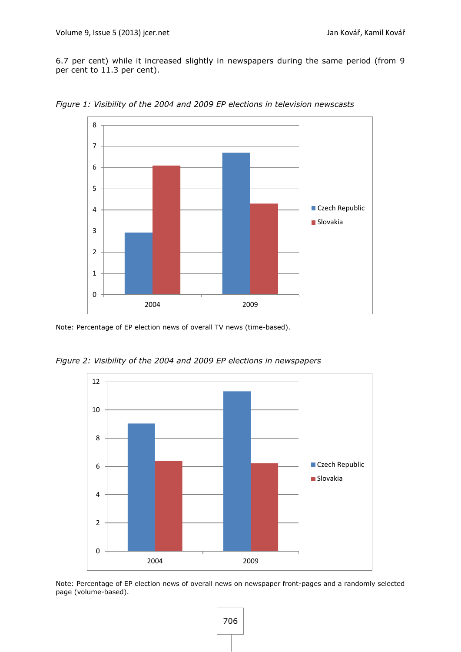6.7 per cent) while it increased slightly in newspapers during the same period (from 9 per cent to 11.3 per cent).



*Figure 1: Visibility of the 2004 and 2009 EP elections in television newscasts*

Note: Percentage of EP election news of overall TV news (time-based).



*Figure 2: Visibility of the 2004 and 2009 EP elections in newspapers*

Note: Percentage of EP election news of overall news on newspaper front-pages and a randomly selected page (volume-based).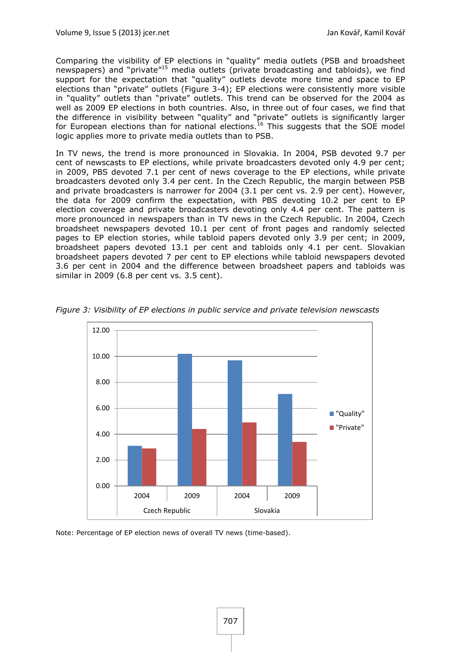Comparing the visibility of EP elections in "quality" media outlets (PSB and broadsheet newspapers) and "private"<sup>15</sup> media outlets (private broadcasting and tabloids), we find support for the expectation that "quality" outlets devote more time and space to EP elections than "private" outlets (Figure 3-4); EP elections were consistently more visible in "quality" outlets than "private" outlets. This trend can be observed for the 2004 as well as 2009 EP elections in both countries. Also, in three out of four cases, we find that the difference in visibility between "quality" and "private" outlets is significantly larger for European elections than for national elections.<sup>16</sup> This suggests that the SOE model logic applies more to private media outlets than to PSB.

In TV news, the trend is more pronounced in Slovakia. In 2004, PSB devoted 9.7 per cent of newscasts to EP elections, while private broadcasters devoted only 4.9 per cent; in 2009, PBS devoted 7.1 per cent of news coverage to the EP elections, while private broadcasters devoted only 3.4 per cent. In the Czech Republic, the margin between PSB and private broadcasters is narrower for 2004 (3.1 per cent vs. 2.9 per cent). However, the data for 2009 confirm the expectation, with PBS devoting 10.2 per cent to EP election coverage and private broadcasters devoting only 4.4 per cent. The pattern is more pronounced in newspapers than in TV news in the Czech Republic. In 2004, Czech broadsheet newspapers devoted 10.1 per cent of front pages and randomly selected pages to EP election stories, while tabloid papers devoted only 3.9 per cent; in 2009, broadsheet papers devoted 13.1 per cent and tabloids only 4.1 per cent. Slovakian broadsheet papers devoted 7 per cent to EP elections while tabloid newspapers devoted 3.6 per cent in 2004 and the difference between broadsheet papers and tabloids was similar in 2009 (6.8 per cent vs. 3.5 cent).



*Figure 3: Visibility of EP elections in public service and private television newscasts*

Note: Percentage of EP election news of overall TV news (time-based).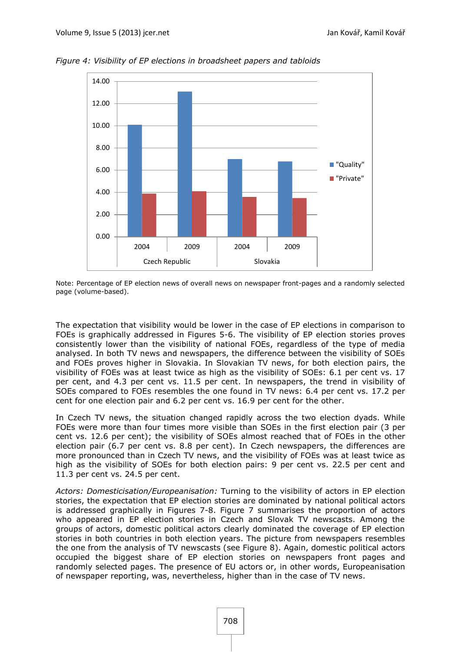

*Figure 4: Visibility of EP elections in broadsheet papers and tabloids*

Note: Percentage of EP election news of overall news on newspaper front-pages and a randomly selected page (volume-based).

The expectation that visibility would be lower in the case of EP elections in comparison to FOEs is graphically addressed in Figures 5-6. The visibility of EP election stories proves consistently lower than the visibility of national FOEs, regardless of the type of media analysed. In both TV news and newspapers, the difference between the visibility of SOEs and FOEs proves higher in Slovakia. In Slovakian TV news, for both election pairs, the visibility of FOEs was at least twice as high as the visibility of SOEs: 6.1 per cent vs. 17 per cent, and 4.3 per cent vs. 11.5 per cent. In newspapers, the trend in visibility of SOEs compared to FOEs resembles the one found in TV news: 6.4 per cent vs. 17.2 per cent for one election pair and 6.2 per cent vs. 16.9 per cent for the other.

In Czech TV news, the situation changed rapidly across the two election dyads. While FOEs were more than four times more visible than SOEs in the first election pair (3 per cent vs. 12.6 per cent); the visibility of SOEs almost reached that of FOEs in the other election pair (6.7 per cent vs. 8.8 per cent). In Czech newspapers, the differences are more pronounced than in Czech TV news, and the visibility of FOEs was at least twice as high as the visibility of SOEs for both election pairs: 9 per cent vs. 22.5 per cent and 11.3 per cent vs. 24.5 per cent.

*Actors: Domesticisation/Europeanisation:* Turning to the visibility of actors in EP election stories, the expectation that EP election stories are dominated by national political actors is addressed graphically in Figures 7-8. Figure 7 summarises the proportion of actors who appeared in EP election stories in Czech and Slovak TV newscasts. Among the groups of actors, domestic political actors clearly dominated the coverage of EP election stories in both countries in both election years. The picture from newspapers resembles the one from the analysis of TV newscasts (see Figure 8). Again, domestic political actors occupied the biggest share of EP election stories on newspapers front pages and randomly selected pages. The presence of EU actors or, in other words, Europeanisation of newspaper reporting, was, nevertheless, higher than in the case of TV news.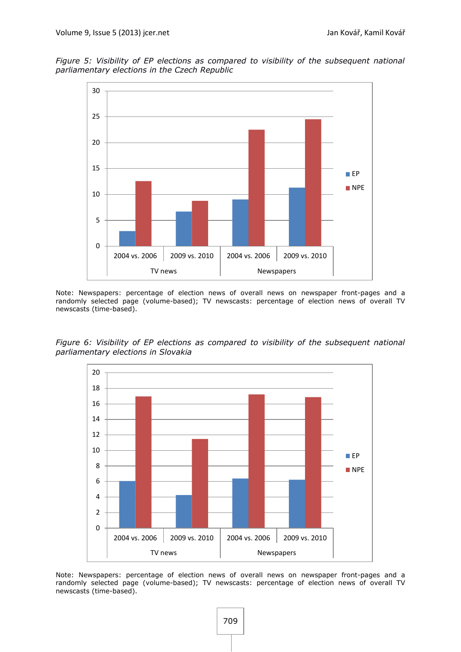*Figure 5: Visibility of EP elections as compared to visibility of the subsequent national parliamentary elections in the Czech Republic*



Note: Newspapers: percentage of election news of overall news on newspaper front-pages and a randomly selected page (volume-based); TV newscasts: percentage of election news of overall TV newscasts (time-based).

*Figure 6: Visibility of EP elections as compared to visibility of the subsequent national parliamentary elections in Slovakia*



Note: Newspapers: percentage of election news of overall news on newspaper front-pages and a randomly selected page (volume-based); TV newscasts: percentage of election news of overall TV newscasts (time-based).

709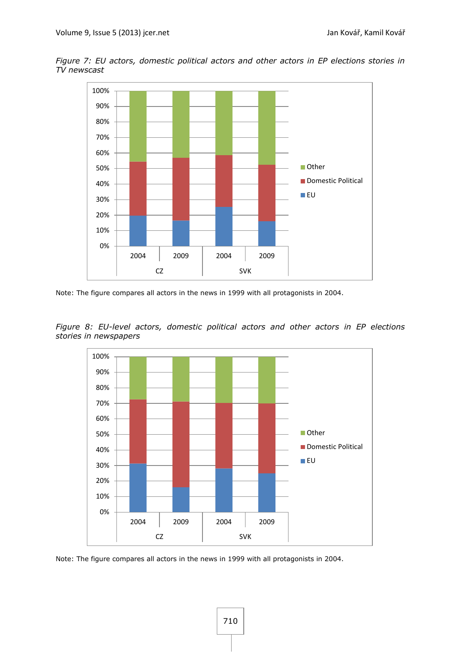*Figure 7: EU actors, domestic political actors and other actors in EP elections stories in TV newscast*



Note: The figure compares all actors in the news in 1999 with all protagonists in 2004.

*Figure 8: EU-level actors, domestic political actors and other actors in EP elections stories in newspapers*



Note: The figure compares all actors in the news in 1999 with all protagonists in 2004.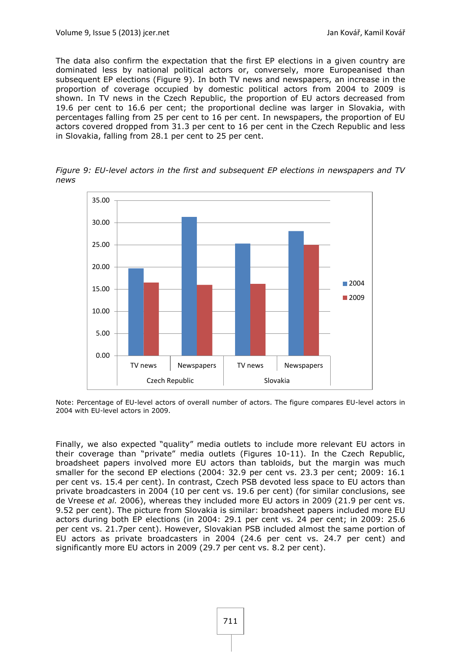The data also confirm the expectation that the first EP elections in a given country are dominated less by national political actors or, conversely, more Europeanised than subsequent EP elections (Figure 9). In both TV news and newspapers, an increase in the proportion of coverage occupied by domestic political actors from 2004 to 2009 is shown. In TV news in the Czech Republic, the proportion of EU actors decreased from 19.6 per cent to 16.6 per cent; the proportional decline was larger in Slovakia, with percentages falling from 25 per cent to 16 per cent. In newspapers, the proportion of EU actors covered dropped from 31.3 per cent to 16 per cent in the Czech Republic and less in Slovakia, falling from 28.1 per cent to 25 per cent.

*Figure 9: EU-level actors in the first and subsequent EP elections in newspapers and TV news*



Note: Percentage of EU-level actors of overall number of actors. The figure compares EU-level actors in 2004 with EU-level actors in 2009.

Finally, we also expected "quality" media outlets to include more relevant EU actors in their coverage than "private" media outlets (Figures 10-11). In the Czech Republic, broadsheet papers involved more EU actors than tabloids, but the margin was much smaller for the second EP elections (2004: 32.9 per cent vs. 23.3 per cent; 2009: 16.1 per cent vs. 15.4 per cent). In contrast, Czech PSB devoted less space to EU actors than private broadcasters in 2004 (10 per cent vs. 19.6 per cent) [\(for similar conclusions,](#page-22-6) see [de Vreese](#page-22-6) *et al.* 2006), whereas they included more EU actors in 2009 (21.9 per cent vs. 9.52 per cent). The picture from Slovakia is similar: broadsheet papers included more EU actors during both EP elections (in 2004: 29.1 per cent vs. 24 per cent; in 2009: 25.6 per cent vs. 21.7per cent). However, Slovakian PSB included almost the same portion of EU actors as private broadcasters in 2004 (24.6 per cent vs. 24.7 per cent) and significantly more EU actors in 2009 (29.7 per cent vs. 8.2 per cent).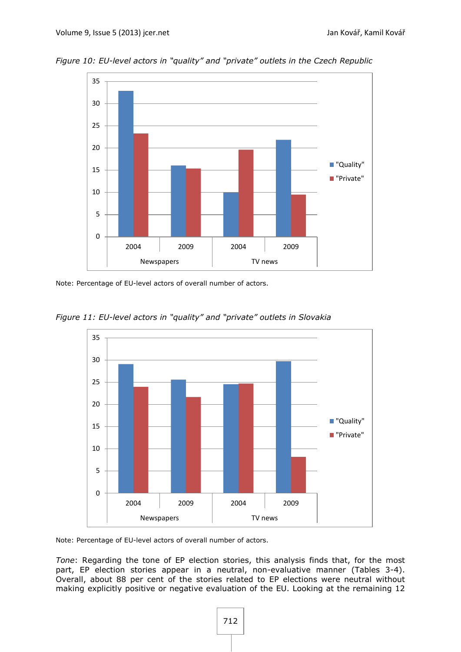

*Figure 10: EU-level actors in "quality" and "private" outlets in the Czech Republic*

Note: Percentage of EU-level actors of overall number of actors.



*Figure 11: EU-level actors in "quality" and "private" outlets in Slovakia*

Note: Percentage of EU-level actors of overall number of actors.

*Tone*: Regarding the tone of EP election stories, this analysis finds that, for the most part, EP election stories appear in a neutral, non-evaluative manner (Tables 3-4). Overall, about 88 per cent of the stories related to EP elections were neutral without making explicitly positive or negative evaluation of the EU. Looking at the remaining 12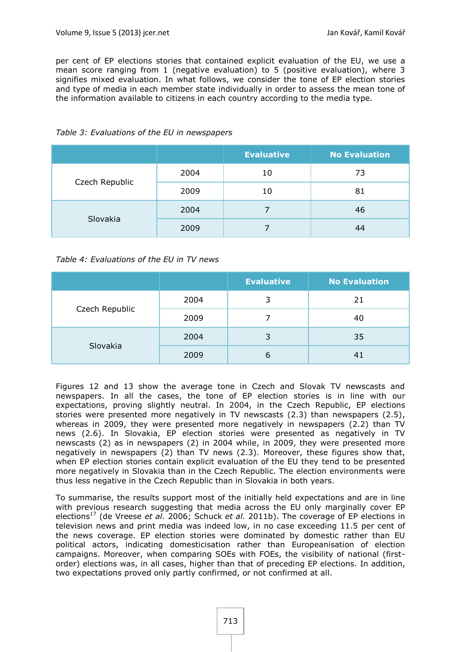per cent of EP elections stories that contained explicit evaluation of the EU, we use a mean score ranging from 1 (negative evaluation) to 5 (positive evaluation), where 3 signifies mixed evaluation. In what follows, we consider the tone of EP election stories and type of media in each member state individually in order to assess the mean tone of the information available to citizens in each country according to the media type.

|                |      | <b>Evaluative</b> | <b>No Evaluation</b> |
|----------------|------|-------------------|----------------------|
|                | 2004 | 10                | 73                   |
| Czech Republic | 2009 | 10                | 81                   |
|                | 2004 |                   | 46                   |
| Slovakia       | 2009 |                   |                      |

#### *Table 3: Evaluations of the EU in newspapers*

*Table 4: Evaluations of the EU in TV news*

|                |      | <b>Evaluative</b> | <b>No Evaluation</b> |
|----------------|------|-------------------|----------------------|
|                | 2004 | 3                 | 21                   |
| Czech Republic | 2009 |                   | 40                   |
|                | 2004 |                   | 35                   |
| Slovakia       | 2009 | 6                 | 41                   |

Figures 12 and 13 show the average tone in Czech and Slovak TV newscasts and newspapers. In all the cases, the tone of EP election stories is in line with our expectations, proving slightly neutral. In 2004, in the Czech Republic, EP elections stories were presented more negatively in TV newscasts (2.3) than newspapers (2.5), whereas in 2009, they were presented more negatively in newspapers (2.2) than TV news (2.6). In Slovakia, EP election stories were presented as negatively in TV newscasts (2) as in newspapers (2) in 2004 while, in 2009, they were presented more negatively in newspapers (2) than TV news (2.3). Moreover, these figures show that, when EP election stories contain explicit evaluation of the EU they tend to be presented more negatively in Slovakia than in the Czech Republic. The election environments were thus less negative in the Czech Republic than in Slovakia in both years.

To summarise, the results support most of the initially held expectations and are in line with previous research suggesting that media across the EU only marginally cover EP elections<sup>17</sup> [\(de Vreese](#page-22-6) *et al.* 2006; [Schuck](#page-26-5) *et al.* 2011b). The coverage of EP elections in television news and print media was indeed low, in no case exceeding 11.5 per cent of the news coverage. EP election stories were dominated by domestic rather than EU political actors, indicating domesticisation rather than Europeanisation of election campaigns. Moreover, when comparing SOEs with FOEs, the visibility of national (firstorder) elections was, in all cases, higher than that of preceding EP elections. In addition, two expectations proved only partly confirmed, or not confirmed at all.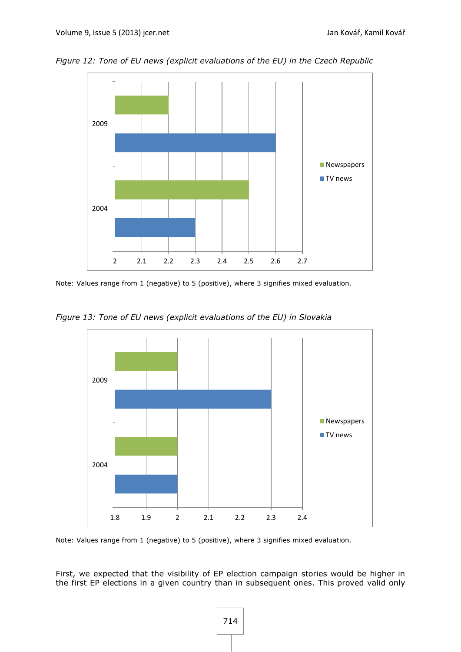*Figure 12: Tone of EU news (explicit evaluations of the EU) in the Czech Republic*



Note: Values range from 1 (negative) to 5 (positive), where 3 signifies mixed evaluation.

*Figure 13: Tone of EU news (explicit evaluations of the EU) in Slovakia*



Note: Values range from 1 (negative) to 5 (positive), where 3 signifies mixed evaluation.

First, we expected that the visibility of EP election campaign stories would be higher in the first EP elections in a given country than in subsequent ones. This proved valid only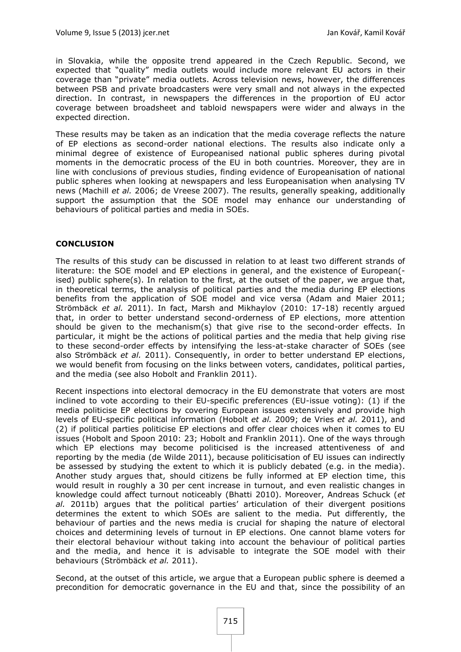in Slovakia, while the opposite trend appeared in the Czech Republic. Second, we expected that "quality" media outlets would include more relevant EU actors in their coverage than "private" media outlets. Across television news, however, the differences between PSB and private broadcasters were very small and not always in the expected direction. In contrast, in newspapers the differences in the proportion of EU actor coverage between broadsheet and tabloid newspapers were wider and always in the expected direction.

These results may be taken as an indication that the media coverage reflects the nature of EP elections as second-order national elections. The results also indicate only a minimal degree of existence of Europeanised national public spheres during pivotal moments in the democratic process of the EU in both countries. Moreover, they are in line with conclusions of previous studies, finding evidence of Europeanisation of national public spheres when looking at newspapers and less Europeanisation when analysing TV news [\(Machill](#page-25-1) *et al.* 2006; [de Vreese](#page-22-2) 2007). The results, generally speaking, additionally support the assumption that the SOE model may enhance our understanding of behaviours of political parties and media in SOEs.

#### **CONCLUSION**

The results of this study can be discussed in relation to at least two different strands of literature: the SOE model and EP elections in general, and the existence of European( ised) public sphere(s). In relation to the first, at the outset of the paper, we argue that, in theoretical terms, the analysis of political parties and the media during EP elections benefits from the application of SOE model and vice versa [\(Adam and Maier 2011;](#page-22-7) [Strömbäck](#page-26-6) *et al.* 2011). In fact, Marsh and Mikhaylov (2010: [17-18\)](#page-25-3) recently argued that, in order to better understand second-orderness of EP elections, more attention should be given to the mechanism(s) that give rise to the second-order effects. In particular, it might be the actions of political parties and the media that help giving rise to these second-order effects by intensifying the less-at-stake character of SOEs [\(see](#page-26-6)  [also Strömbäck](#page-26-6) *et al.* 2011). Consequently, in order to better understand EP elections, we would benefit from focusing on the links between voters, candidates, political parties, and the media [\(see also Hobolt and Franklin](#page-24-16) 2011).

Recent inspections into electoral democracy in the EU demonstrate that voters are most inclined to vote according to their EU-specific preferences (EU-issue voting): (1) if the media politicise EP elections by covering European issues extensively and provide high levels of EU-specific political information [\(Hobolt](#page-24-17) *et al.* 2009; [de Vries](#page-22-18) *et al.* 2011), and (2) if political parties politicise EP elections and offer clear choices when it comes to EU issues [\(Hobolt and Spoon 2010:](#page-24-10) 23; [Hobolt and Franklin](#page-24-16) 2011). One of the ways through which EP elections may become politicised is the increased attentiveness of and reporting by the media [\(de Wilde](#page-23-3) 2011), because politicisation of EU issues can indirectly be assessed by studying the extent to which it is publicly debated (e.g. in the media). Another study argues that, should citizens be fully informed at EP election time, this would result in roughly a 30 per cent increase in turnout, and even realistic changes in knowledge could affect turnout noticeably [\(Bhatti](#page-22-19) 2010). Moreover, Andreas Schuck (*et al.* 2011b) argues that the political parties' articulation of their divergent positions determines the extent to which SOEs are salient to the media. Put differently, the behaviour of parties and the news media is crucial for shaping the nature of electoral choices and determining levels of turnout in EP elections. One cannot blame voters for their electoral behaviour without taking into account the behaviour of political parties and the media, and hence it is advisable to integrate the SOE model with their behaviours [\(Strömbäck](#page-26-6) *et al.* 2011).

Second, at the outset of this article, we argue that a European public sphere is deemed a precondition for democratic governance in the EU and that, since the possibility of an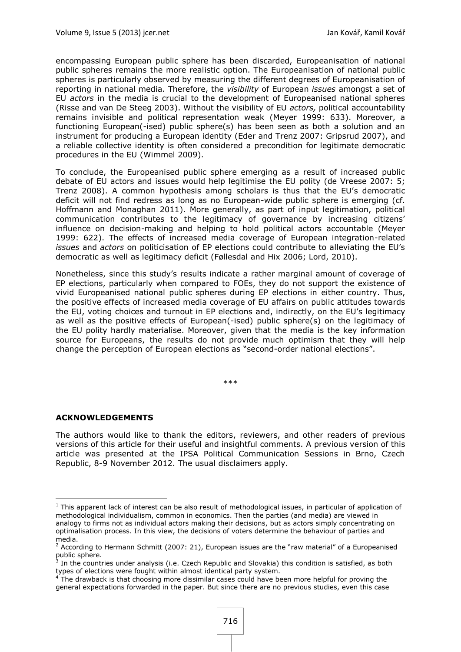encompassing European public sphere has been discarded, Europeanisation of national public spheres remains the more realistic option. The Europeanisation of national public spheres is particularly observed by measuring the different degrees of Europeanisation of reporting in national media. Therefore, the *visibility* of European *issues* amongst a set of EU *actors* in the media is crucial to the development of Europeanised national spheres [\(Risse and van De Steeg 2003\)](#page-25-7). Without the visibility of EU *actors,* political accountability remains invisible and political representation weak [\(Meyer 1999:](#page-25-18) 633). Moreover, a functioning European(-ised) public sphere(s) has been seen as both a solution and an instrument for producing a European identity [\(Eder and Trenz 2007:](#page-23-4) [Gripsrud](#page-24-4) 2007), and a reliable collective identity is often considered a precondition for legitimate democratic procedures in the EU [\(Wimmel](#page-26-12) 2009).

To conclude, the Europeanised public sphere emerging as a result of increased public debate of EU actors and issues would help legitimise the EU polity [\(de Vreese 2007:](#page-22-2) 5; [Trenz](#page-26-2) 2008). A common hypothesis among scholars is thus that the EU's democratic deficit will not find redress as long as no European-wide public sphere is emerging [\(cf.](#page-24-18)  [Hoffmann and Monaghan 2011\)](#page-24-18). More generally, as part of input legitimation, political communication contributes to the legitimacy of governance by increasing citizens' influence on decision-making and helping to hold political actors accountable [\(Meyer](#page-25-18) [1999: 622\)](#page-25-18). The effects of increased media coverage of European integration-related *issues* and *actors* on politicisation of EP elections could contribute to alleviating the EU's democratic as well as legitimacy deficit [\(Føllesdal and Hix](#page-24-19) 2006; [Lord, 2010\)](#page-25-19).

Nonetheless, since this study's results indicate a rather marginal amount of coverage of EP elections, particularly when compared to FOEs, they do not support the existence of vivid Europeanised national public spheres during EP elections in either country. Thus, the positive effects of increased media coverage of EU affairs on public attitudes towards the EU, voting choices and turnout in EP elections and, indirectly, on the EU's legitimacy as well as the positive effects of European(-ised) public sphere(s) on the legitimacy of the EU polity hardly materialise. Moreover, given that the media is the key information source for Europeans, the results do not provide much optimism that they will help change the perception of European elections as "second-order national elections".

\*\*\*

## **ACKNOWLEDGEMENTS**

**.** 

The authors would like to thank the editors, reviewers, and other readers of previous versions of this article for their useful and insightful comments. A previous version of this article was presented at the IPSA Political Communication Sessions in Brno, Czech Republic, 8-9 November 2012. The usual disclaimers apply.

 $<sup>1</sup>$  This apparent lack of interest can be also result of methodological issues, in particular of application of</sup> methodological individualism, common in economics. Then the parties (and media) are viewed in analogy to firms not as individual actors making their decisions, but as actors simply concentrating on optimalisation process. In this view, the decisions of voters determine the behaviour of parties and media.

<sup>2</sup> According to Hermann Schmitt [\(2007: 21\)](#page-25-20), European issues are the "raw material" of a Europeanised public sphere.<br><sup>3</sup> In the sount

In the countries under analysis (i.e. Czech Republic and Slovakia) this condition is satisfied, as both types of elections were fought within almost identical party system.

<sup>&</sup>lt;sup>4</sup> The drawback is that choosing more dissimilar cases could have been more helpful for proving the general expectations forwarded in the paper. But since there are no previous studies, even this case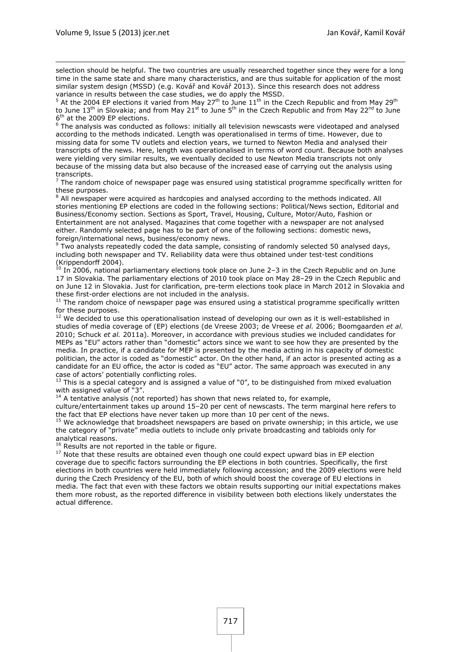1

selection should be helpful. The two countries are usually researched together since they were for a long time in the same state and share many characteristics, and are thus suitable for application of the most similar system design (MSSD) ([e.g. Kovář and Kovář 2013](#page-24-20)). Since this research does not address variance in results between the case studies, we do apply the MSSD.

At the 2004 EP elections it varied from May 27<sup>th</sup> to June  $11<sup>th</sup>$  in the Czech Republic and from May 29<sup>th</sup> to June 13<sup>th</sup> in Slovakia; and from May 21<sup>st</sup> to June 5<sup>th</sup> in the Czech Republic and from May 22<sup>nd</sup> to June 6<sup>th</sup> at the 2009 EP elections.

<sup>6</sup> The analysis was conducted as follows: initially all television newscasts were videotaped and analysed according to the methods indicated. Length was operationalised in terms of time. However, due to missing data for some TV outlets and election years, we turned to Newton Media and analysed their transcripts of the news. Here, length was operationalised in terms of word count. Because both analyses were yielding very similar results, we eventually decided to use Newton Media transcripts not only because of the missing data but also because of the increased ease of carrying out the analysis using transcripts.<br><sup>7</sup> The rande

The random choice of newspaper page was ensured using statistical programme specifically written for these purposes.

 $8$  All newspaper were acquired as hardcopies and analysed according to the methods indicated. All stories mentioning EP elections are coded in the following sections: Political/News section, Editorial and Business/Economy section. Sections as Sport, Travel, Housing, Culture, Motor/Auto, Fashion or Entertainment are not analysed. Magazines that come together with a newspaper are not analysed either. Randomly selected page has to be part of one of the following sections: domestic news, foreign/international news, business/economy news.

<sup>9</sup> Two analysts repeatedly coded the data sample, consisting of randomly selected 50 analysed days, including both newspaper and TV. Reliability data were thus obtained under test-test conditions [\(Krippendorff 2004\)](#page-24-21).

 $^{10}$  In 2006, national parliamentary elections took place on June 2-3 in the Czech Republic and on June 17 in Slovakia. The parliamentary elections of 2010 took place on May 28–29 in the Czech Republic and on June 12 in Slovakia. Just for clarification, pre-term elections took place in March 2012 in Slovakia and these first-order elections are not included in the analysis.

 $11$  The random choice of newspaper page was ensured using a statistical programme specifically written for these purposes.

<sup>12</sup> We decided to use this operationalisation instead of developing our own as it is well-established in studies of media coverage of (EP) elections [\(de Vreese 2003;](#page-22-1) [de Vreese](#page-22-6) *et al.* 2006; [Boomgaarden](#page-22-3) *et al.* [2010;](#page-22-3) [Schuck](#page-26-11) *et al.* 2011a). Moreover, in accordance with previous studies we included candidates for MEPs as "EU" actors rather than "domestic" actors since we want to see how they are presented by the media. In practice, if a candidate for MEP is presented by the media acting in his capacity of domestic politician, the actor is coded as "domestic" actor. On the other hand, if an actor is presented acting as a candidate for an EU office, the actor is coded as "EU" actor. The same approach was executed in any case of actors' potentially conflicting roles.

 $^{13}$  This is a special category and is assigned a value of "0", to be distinguished from mixed evaluation with assigned value of "3".

 $14$  A tentative analysis (not reported) has shown that news related to, for example,

culture/entertainment takes up around 15–20 per cent of newscasts. The term marginal here refers to the fact that EP elections have never taken up more than 10 per cent of the news.

 $15$  We acknowledge that broadsheet newspapers are based on private ownership; in this article, we use the category of "private" media outlets to include only private broadcasting and tabloids only for analytical reasons.

 $16$  Results are not reported in the table or figure.

<sup>17</sup> Note that these results are obtained even though one could expect upward bias in EP election coverage due to specific factors surrounding the EP elections in both countries. Specifically, the first elections in both countries were held immediately following accession; and the 2009 elections were held during the Czech Presidency of the EU, both of which should boost the coverage of EU elections in media. The fact that even with these factors we obtain results supporting our initial expectations makes them more robust, as the reported difference in visibility between both elections likely understates the actual difference.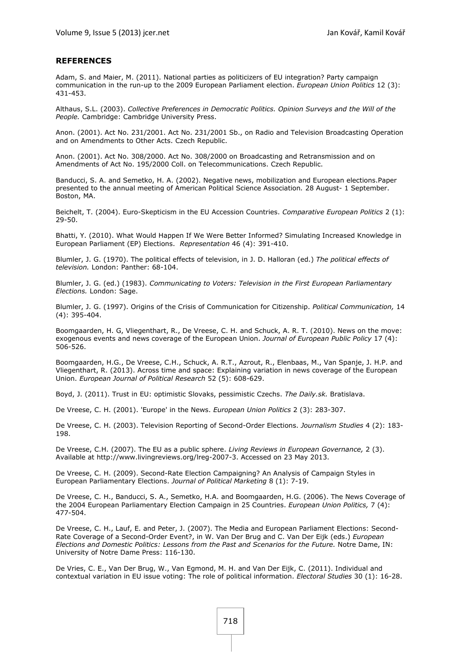#### **REFERENCES**

<span id="page-22-7"></span>Adam, S. and Maier, M. (2011). National parties as politicizers of EU integration? Party campaign communication in the run-up to the 2009 European Parliament election. *European Union Politics* 12 (3): 431-453.

<span id="page-22-0"></span>Althaus, S.L. (2003). *Collective Preferences in Democratic Politics. Opinion Surveys and the Will of the People.* Cambridge: Cambridge University Press.

<span id="page-22-14"></span>Anon. (2001). Act No. 231/2001. Act No. 231/2001 Sb., on Radio and Television Broadcasting Operation and on Amendments to Other Acts. Czech Republic.

<span id="page-22-15"></span>Anon. (2001). Act No. 308/2000. Act No. 308/2000 on Broadcasting and Retransmission and on Amendments of Act No. 195/2000 Coll. on Telecommunications. Czech Republic.

<span id="page-22-13"></span>Banducci, S. A. and Semetko, H. A. (2002). Negative news, mobilization and European elections.Paper presented to the annual meeting of American Political Science Association*.* 28 August- 1 September. Boston, MA.

<span id="page-22-11"></span>Beichelt, T. (2004). Euro-Skepticism in the EU Accession Countries. *Comparative European Politics* 2 (1): 29-50.

<span id="page-22-19"></span>Bhatti, Y. (2010). What Would Happen If We Were Better Informed? Simulating Increased Knowledge in European Parliament (EP) Elections. *Representation* 46 (4): 391-410.

<span id="page-22-17"></span>Blumler, J. G. (1970). The political effects of television, in J. D. Halloran (ed.) *The political effects of television.* London: Panther: 68-104.

<span id="page-22-4"></span>Blumler, J. G. (ed.) (1983). *Communicating to Voters: Television in the First European Parliamentary Elections.* London: Sage.

<span id="page-22-16"></span>Blumler, J. G. (1997). Origins of the Crisis of Communication for Citizenship. *Political Communication,* 14 (4): 395-404.

<span id="page-22-3"></span>Boomgaarden, H. G, Vliegenthart, R., De Vreese, C. H. and Schuck, A. R. T. (2010). News on the move: exogenous events and news coverage of the European Union. *Journal of European Public Policy* 17 (4): 506-526.

<span id="page-22-10"></span>Boomgaarden, H.G., De Vreese, C.H., Schuck, A. R.T., Azrout, R., Elenbaas, M., Van Spanje, J. H.P. and Vliegenthart, R. (2013). Across time and space: Explaining variation in news coverage of the European Union. *European Journal of Political Research* 52 (5): 608-629.

<span id="page-22-12"></span>Boyd, J. (2011). Trust in EU: optimistic Slovaks, pessimistic Czechs. *The Daily.sk.* Bratislava.

<span id="page-22-9"></span>De Vreese, C. H. (2001). 'Europe' in the News. *European Union Politics* 2 (3): 283-307.

<span id="page-22-1"></span>De Vreese, C. H. (2003). Television Reporting of Second-Order Elections. *Journalism Studies* 4 (2): 183- 198.

<span id="page-22-2"></span>De Vreese, C.H. (2007). The EU as a public sphere. *Living Reviews in European Governance,* 2 (3). Available at http://www.livingreviews.org/lreg-2007-3. Accessed on 23 May 2013.

<span id="page-22-8"></span>De Vreese, C. H. (2009). Second-Rate Election Campaigning? An Analysis of Campaign Styles in European Parliamentary Elections. *Journal of Political Marketing* 8 (1): 7-19.

<span id="page-22-6"></span>De Vreese, C. H., Banducci, S. A., Semetko, H.A. and Boomgaarden, H.G. (2006). The News Coverage of the 2004 European Parliamentary Election Campaign in 25 Countries. *European Union Politics,* 7 (4): 477-504.

<span id="page-22-5"></span>De Vreese, C. H., Lauf, E. and Peter, J. (2007). The Media and European Parliament Elections: Second-Rate Coverage of a Second-Order Event?, in W. Van Der Brug and C. Van Der Eijk (eds.) *European Elections and Domestic Politics: Lessons from the Past and Scenarios for the Future.* Notre Dame, IN: University of Notre Dame Press: 116-130.

<span id="page-22-18"></span>De Vries, C. E., Van Der Brug, W., Van Egmond, M. H. and Van Der Eijk, C. (2011). Individual and contextual variation in EU issue voting: The role of political information. *Electoral Studies* 30 (1): 16-28.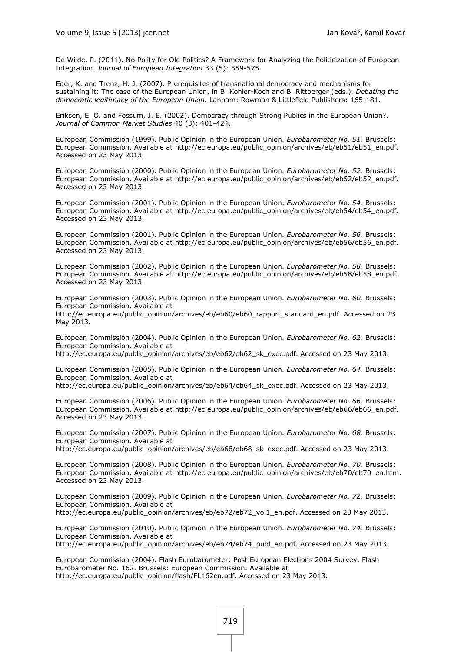<span id="page-23-3"></span>De Wilde, P. (2011). No Polity for Old Politics? A Framework for Analyzing the Politicization of European Integration. *Journal of European Integration* 33 (5): 559-575.

<span id="page-23-4"></span>Eder, K. and Trenz, H. J. (2007). Prerequisites of transnational democracy and mechanisms for sustaining it: The case of the European Union, in B. Kohler-Koch and B. Rittberger (eds.), *Debating the democratic legitimacy of the European Union.* Lanham: Rowman & Littlefield Publishers: 165-181.

<span id="page-23-0"></span>Eriksen, E. O. and Fossum, J. E. (2002). Democracy through Strong Publics in the European Union?. *Journal of Common Market Studies* 40 (3): 401-424.

<span id="page-23-1"></span>European Commission (1999). Public Opinion in the European Union. *Eurobarometer No. 51*. Brussels: European Commission. Available at http://ec.europa.eu/public\_opinion/archives/eb/eb51/eb51\_en.pdf. Accessed on 23 May 2013.

European Commission (2000). Public Opinion in the European Union. *Eurobarometer No. 52*. Brussels: European Commission. Available at http://ec.europa.eu/public\_opinion/archives/eb/eb52/eb52\_en.pdf. Accessed on 23 May 2013.

European Commission (2001). Public Opinion in the European Union. *Eurobarometer No. 54*. Brussels: European Commission. Available at http://ec.europa.eu/public\_opinion/archives/eb/eb54/eb54\_en.pdf. Accessed on 23 May 2013.

European Commission (2001). Public Opinion in the European Union. *Eurobarometer No. 56*. Brussels: European Commission. Available at http://ec.europa.eu/public\_opinion/archives/eb/eb56/eb56\_en.pdf. Accessed on 23 May 2013.

European Commission (2002). Public Opinion in the European Union. *Eurobarometer No. 58*. Brussels: European Commission. Available at http://ec.europa.eu/public\_opinion/archives/eb/eb58/eb58\_en.pdf. Accessed on 23 May 2013.

European Commission (2003). Public Opinion in the European Union. *Eurobarometer No. 60*. Brussels: European Commission. Available at

http://ec.europa.eu/public\_opinion/archives/eb/eb60/eb60\_rapport\_standard\_en.pdf. Accessed on 23 May 2013.

European Commission (2004). Public Opinion in the European Union. *Eurobarometer No. 62*. Brussels: European Commission. Available at

http://ec.europa.eu/public\_opinion/archives/eb/eb62/eb62\_sk\_exec.pdf. Accessed on 23 May 2013.

European Commission (2005). Public Opinion in the European Union. *Eurobarometer No. 64*. Brussels: European Commission. Available at

http://ec.europa.eu/public\_opinion/archives/eb/eb64/eb64\_sk\_exec.pdf. Accessed on 23 May 2013.

European Commission (2006). Public Opinion in the European Union. *Eurobarometer No. 66*. Brussels: European Commission. Available at http://ec.europa.eu/public\_opinion/archives/eb/eb66/eb66\_en.pdf. Accessed on 23 May 2013.

European Commission (2007). Public Opinion in the European Union. *Eurobarometer No. 68*. Brussels: European Commission. Available at

http://ec.europa.eu/public\_opinion/archives/eb/eb68/eb68\_sk\_exec.pdf. Accessed on 23 May 2013.

European Commission (2008). Public Opinion in the European Union. *Eurobarometer No. 70*. Brussels: European Commission. Available at http://ec.europa.eu/public\_opinion/archives/eb/eb70/eb70\_en.htm. Accessed on 23 May 2013.

European Commission (2009). Public Opinion in the European Union. *Eurobarometer No. 72*. Brussels: European Commission. Available at

http://ec.europa.eu/public\_opinion/archives/eb/eb72/eb72\_vol1\_en.pdf. Accessed on 23 May 2013.

European Commission (2010). Public Opinion in the European Union. *Eurobarometer No. 74*. Brussels: European Commission. Available at

http://ec.europa.eu/public\_opinion/archives/eb/eb74/eb74\_publ\_en.pdf. Accessed on 23 May 2013.

<span id="page-23-2"></span>European Commission (2004). Flash Eurobarometer: Post European Elections 2004 Survey. Flash Eurobarometer No. 162. Brussels: European Commission. Available at http://ec.europa.eu/public\_opinion/flash/FL162en.pdf. Accessed on 23 May 2013.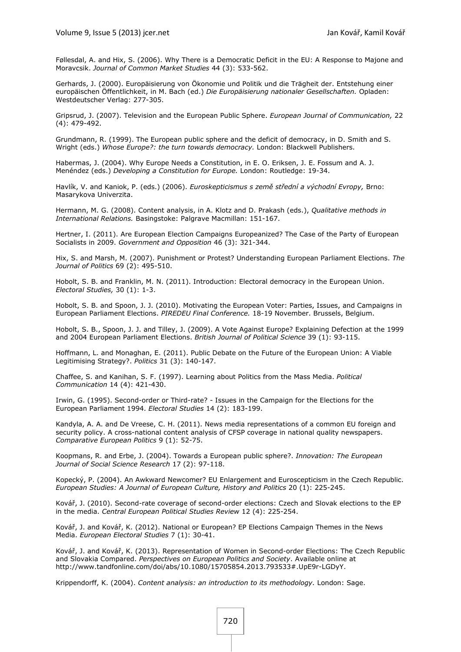<span id="page-24-19"></span>Føllesdal, A. and Hix, S. (2006). Why There is a Democratic Deficit in the EU: A Response to Majone and Moravcsik. *Journal of Common Market Studies* 44 (3): 533-562.

<span id="page-24-2"></span>Gerhards, J. (2000). Europäisierung von Ökonomie und Politik und die Trägheit der. Entstehung einer europäischen Öffentlichkeit, in M. Bach (ed.) *Die Europäisierung nationaler Gesellschaften.* Opladen: Westdeutscher Verlag: 277-305.

<span id="page-24-4"></span>Gripsrud, J. (2007). Television and the European Public Sphere. *European Journal of Communication,* 22 (4): 479-492.

<span id="page-24-1"></span>Grundmann, R. (1999). The European public sphere and the deficit of democracy, in D. Smith and S. Wright (eds.) *Whose Europe?: the turn towards democracy.* London: Blackwell Publishers.

<span id="page-24-0"></span>Habermas, J. (2004). Why Europe Needs a Constitution, in E. O. Eriksen, J. E. Fossum and A. J. Menéndez (eds.) *Developing a Constitution for Europe.* London: Routledge: 19-34.

<span id="page-24-12"></span>Havlík, V. and Kaniok, P. (eds.) (2006). *Euroskepticismus s země střední a východní Evropy,* Brno: Masarykova Univerzita.

<span id="page-24-13"></span>Hermann, M. G. (2008). Content analysis, in A. Klotz and D. Prakash (eds.), *Qualitative methods in International Relations.* Basingstoke: Palgrave Macmillan: 151-167.

<span id="page-24-8"></span>Hertner, I. (2011). Are European Election Campaigns Europeanized? The Case of the Party of European Socialists in 2009. *Government and Opposition* 46 (3): 321-344.

<span id="page-24-3"></span>Hix, S. and Marsh, M. (2007). Punishment or Protest? Understanding European Parliament Elections. *The Journal of Politics* 69 (2): 495-510.

<span id="page-24-16"></span>Hobolt, S. B. and Franklin, M. N. (2011). Introduction: Electoral democracy in the European Union. *Electoral Studies,* 30 (1): 1-3.

<span id="page-24-10"></span>Hobolt, S. B. and Spoon, J. J. (2010). Motivating the European Voter: Parties, Issues, and Campaigns in European Parliament Elections. *PIREDEU Final Conference.* 18-19 November. Brussels, Belgium.

<span id="page-24-17"></span>Hobolt, S. B., Spoon, J. J. and Tilley, J. (2009). A Vote Against Europe? Explaining Defection at the 1999 and 2004 European Parliament Elections. *British Journal of Political Science* 39 (1): 93-115.

<span id="page-24-18"></span>Hoffmann, L. and Monaghan, E. (2011). Public Debate on the Future of the European Union: A Viable Legitimising Strategy?. *Politics* 31 (3): 140-147.

<span id="page-24-14"></span>Chaffee, S. and Kanihan, S. F. (1997). Learning about Politics from the Mass Media. *Political Communication* 14 (4): 421-430.

<span id="page-24-7"></span>Irwin, G. (1995). Second-order or Third-rate? - Issues in the Campaign for the Elections for the European Parliament 1994. *Electoral Studies* 14 (2): 183-199.

<span id="page-24-6"></span>Kandyla, A. A. and De Vreese, C. H. (2011). News media representations of a common EU foreign and security policy. A cross-national content analysis of CFSP coverage in national quality newspapers. *Comparative European Politics* 9 (1): 52-75.

<span id="page-24-5"></span>Koopmans, R. and Erbe, J. (2004). Towards a European public sphere?. *Innovation: The European Journal of Social Science Research* 17 (2): 97-118.

<span id="page-24-11"></span>Kopecký, P. (2004). An Awkward Newcomer? EU Enlargement and Euroscepticism in the Czech Republic. *European Studies: A Journal of European Culture, History and Politics* 20 (1): 225-245.

<span id="page-24-9"></span>Kovář, J. (2010). Second-rate coverage of second-order elections: Czech and Slovak elections to the EP in the media. *Central European Political Studies Review* 12 (4): 225-254.

<span id="page-24-15"></span>Kovář, J. and Kovář, K. (2012). National or European? EP Elections Campaign Themes in the News Media. *European Electoral Studies* 7 (1): 30-41.

<span id="page-24-20"></span>Kovář, J. and Kovář, K. (2013). Representation of Women in Second-order Elections: The Czech Republic and Slovakia Compared. *Perspectives on European Politics and Society*. Available online at http://www.tandfonline.com/doi/abs/10.1080/15705854.2013.793533#.UpE9r-LGDyY.

<span id="page-24-21"></span>Krippendorff, K. (2004). *Content analysis: an introduction to its methodology.* London: Sage.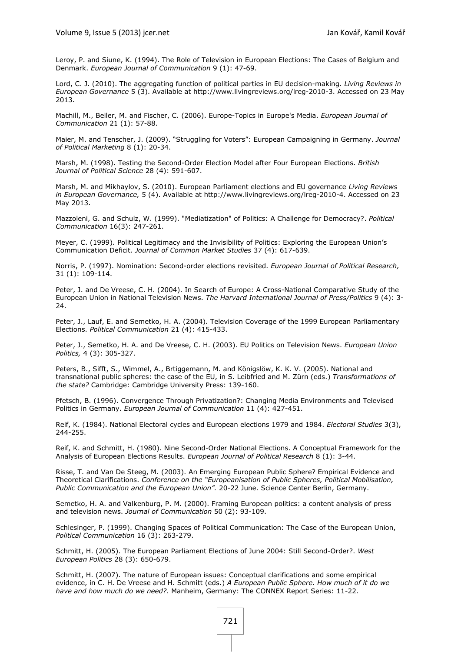<span id="page-25-13"></span>Leroy, P. and Siune, K. (1994). The Role of Television in European Elections: The Cases of Belgium and Denmark. *European Journal of Communication* 9 (1): 47-69.

<span id="page-25-19"></span>Lord, C. J. (2010). The aggregating function of political parties in EU decision-making. *Living Reviews in European Governance* 5 (3). Available at http://www.livingreviews.org/lreg-2010-3. Accessed on 23 May 2013.

<span id="page-25-1"></span>Machill, M., Beiler, M. and Fischer, C. (2006). Europe-Topics in Europe's Media. *European Journal of Communication* 21 (1): 57-88.

<span id="page-25-12"></span>Maier, M. and Tenscher, J. (2009). "Struggling for Voters": European Campaigning in Germany. *Journal of Political Marketing* 8 (1): 20-34.

<span id="page-25-4"></span>Marsh, M. (1998). Testing the Second-Order Election Model after Four European Elections. *British Journal of Political Science* 28 (4): 591-607.

<span id="page-25-3"></span>Marsh, M. and Mikhaylov, S. (2010). European Parliament elections and EU governance *Living Reviews in European Governance,* 5 (4). Available at http://www.livingreviews.org/lreg-2010-4. Accessed on 23 May 2013.

<span id="page-25-17"></span>Mazzoleni, G. and Schulz, W. (1999). "Mediatization" of Politics: A Challenge for Democracy?. *Political Communication* 16(3): 247-261.

<span id="page-25-18"></span>Meyer, C. (1999). Political Legitimacy and the Invisibility of Politics: Exploring the European Union's Communication Deficit. *Journal of Common Market Studies* 37 (4): 617-639.

<span id="page-25-10"></span>Norris, P. (1997). Nomination: Second-order elections revisited. *European Journal of Political Research,* 31 (1): 109-114.

<span id="page-25-8"></span>Peter, J. and De Vreese, C. H. (2004). In Search of Europe: A Cross-National Comparative Study of the European Union in National Television News. *The Harvard International Journal of Press/Politics* 9 (4): 3- 24.

<span id="page-25-9"></span>Peter, J., Lauf, E. and Semetko, H. A. (2004). Television Coverage of the 1999 European Parliamentary Elections. *Political Communication* 21 (4): 415-433.

<span id="page-25-16"></span>Peter, J., Semetko, H. A. and De Vreese, C. H. (2003). EU Politics on Television News. *European Union Politics,* 4 (3): 305-327.

<span id="page-25-6"></span>Peters, B., Sifft, S., Wimmel, A., Brtiggemann, M. and Königslöw, K. K. V. (2005). National and transnational public spheres: the case of the EU, in S. Leibfried and M. Zürn (eds.) *Transformations of the state?* Cambridge: Cambridge University Press: 139-160.

<span id="page-25-14"></span>Pfetsch, B. (1996). Convergence Through Privatization?: Changing Media Environments and Televised Politics in Germany. *European Journal of Communication* 11 (4): 427-451.

<span id="page-25-11"></span>Reif, K. (1984). National Electoral cycles and European elections 1979 and 1984. *Electoral Studies* 3(3), 244-255.

<span id="page-25-2"></span>Reif, K. and Schmitt, H. (1980). Nine Second-Order National Elections. A Conceptual Framework for the Analysis of European Elections Results. *European Journal of Political Research* 8 (1): 3-44.

<span id="page-25-7"></span>Risse, T. and Van De Steeg, M. (2003). An Emerging European Public Sphere? Empirical Evidence and Theoretical Clarifications. *Conference on the "Europeanisation of Public Spheres, Political Mobilisation, Public Communication and the European Union".* 20-22 June. Science Center Berlin, Germany.

<span id="page-25-15"></span>Semetko, H. A. and Valkenburg, P. M. (2000). Framing European politics: a content analysis of press and television news. *Journal of Communication* 50 (2): 93-109.

<span id="page-25-0"></span>Schlesinger, P. (1999). Changing Spaces of Political Communication: The Case of the European Union, *Political Communication* 16 (3): 263-279.

<span id="page-25-5"></span>Schmitt, H. (2005). The European Parliament Elections of June 2004: Still Second-Order?. *West European Politics* 28 (3): 650-679.

<span id="page-25-20"></span>Schmitt, H. (2007). The nature of European issues: Conceptual clarifications and some empirical evidence, in C. H. De Vreese and H. Schmitt (eds.) *A European Public Sphere. How much of it do we have and how much do we need?*. Manheim, Germany: The CONNEX Report Series: 11-22.